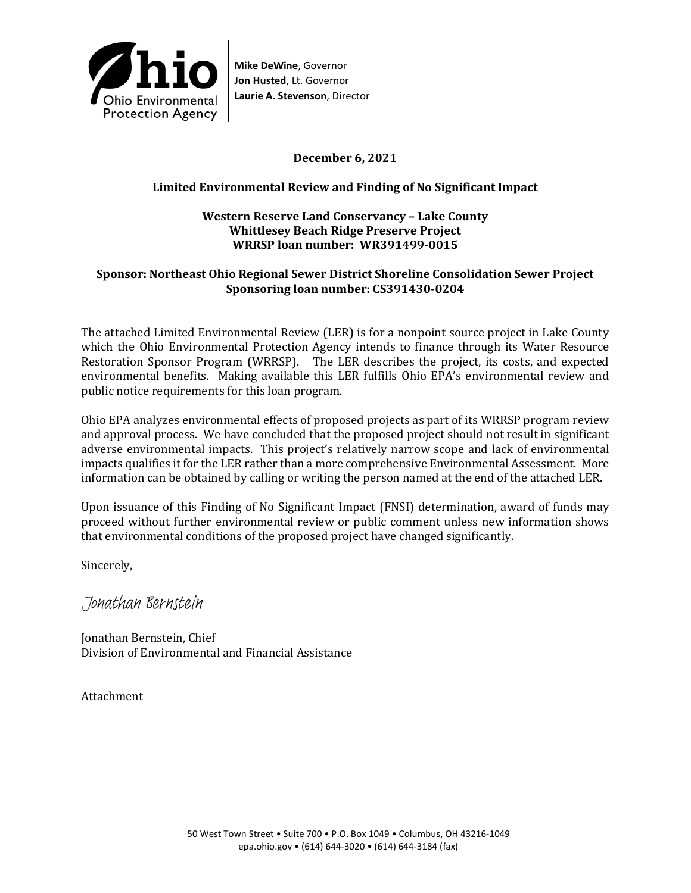

**Mike DeWine**, Governor **Jon Husted**, Lt. Governor **Laurie A. Stevenson**, Director

## **December 6, 2021**

### **Limited Environmental Review and Finding of No Significant Impact**

#### **Western Reserve Land Conservancy – Lake County Whittlesey Beach Ridge Preserve Project WRRSP loan number: WR391499-0015**

### **Sponsor: Northeast Ohio Regional Sewer District Shoreline Consolidation Sewer Project Sponsoring loan number: CS391430-0204**

The attached Limited Environmental Review (LER) is for a nonpoint source project in Lake County which the Ohio Environmental Protection Agency intends to finance through its Water Resource Restoration Sponsor Program (WRRSP). The LER describes the project, its costs, and expected environmental benefits. Making available this LER fulfills Ohio EPA's environmental review and public notice requirements for this loan program.

Ohio EPA analyzes environmental effects of proposed projects as part of its WRRSP program review and approval process. We have concluded that the proposed project should not result in significant adverse environmental impacts. This project's relatively narrow scope and lack of environmental impacts qualifies it for the LER rather than a more comprehensive Environmental Assessment. More information can be obtained by calling or writing the person named at the end of the attached LER.

Upon issuance of this Finding of No Significant Impact (FNSI) determination, award of funds may proceed without further environmental review or public comment unless new information shows that environmental conditions of the proposed project have changed significantly.

Sincerely,

Jonathan Bernstein

Jonathan Bernstein, Chief Division of Environmental and Financial Assistance

Attachment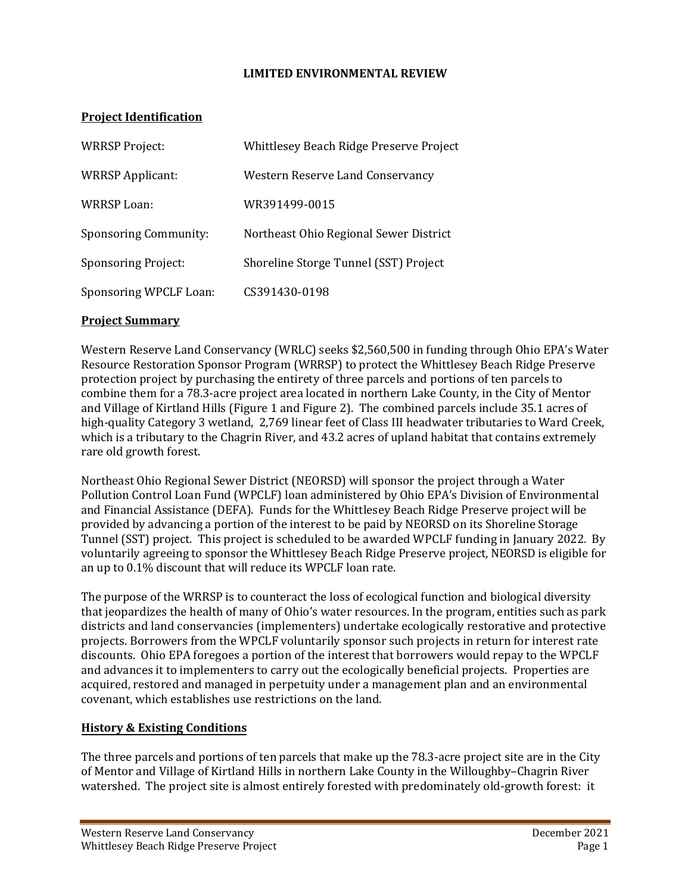### **LIMITED ENVIRONMENTAL REVIEW**

### **Project Identification**

| <b>WRRSP Project:</b>        | Whittlesey Beach Ridge Preserve Project |
|------------------------------|-----------------------------------------|
| <b>WRRSP Applicant:</b>      | Western Reserve Land Conservancy        |
| WRRSP Loan:                  | WR391499-0015                           |
| <b>Sponsoring Community:</b> | Northeast Ohio Regional Sewer District  |
| <b>Sponsoring Project:</b>   | Shoreline Storge Tunnel (SST) Project   |
| Sponsoring WPCLF Loan:       | CS391430-0198                           |

#### **Project Summary**

Western Reserve Land Conservancy (WRLC) seeks \$2,560,500 in funding through Ohio EPA's Water Resource Restoration Sponsor Program (WRRSP) to protect the Whittlesey Beach Ridge Preserve protection project by purchasing the entirety of three parcels and portions of ten parcels to combine them for a 78.3-acre project area located in northern Lake County, in the City of Mentor and Village of Kirtland Hills (Figure 1 and Figure 2). The combined parcels include 35.1 acres of high-quality Category 3 wetland, 2,769 linear feet of Class III headwater tributaries to Ward Creek, which is a tributary to the Chagrin River, and 43.2 acres of upland habitat that contains extremely rare old growth forest.

Northeast Ohio Regional Sewer District (NEORSD) will sponsor the project through a Water Pollution Control Loan Fund (WPCLF) loan administered by Ohio EPA's Division of Environmental and Financial Assistance (DEFA). Funds for the Whittlesey Beach Ridge Preserve project will be provided by advancing a portion of the interest to be paid by NEORSD on its Shoreline Storage Tunnel (SST) project. This project is scheduled to be awarded WPCLF funding in January 2022. By voluntarily agreeing to sponsor the Whittlesey Beach Ridge Preserve project, NEORSD is eligible for an up to 0.1% discount that will reduce its WPCLF loan rate.

The purpose of the WRRSP is to counteract the loss of ecological function and biological diversity that jeopardizes the health of many of Ohio's water resources. In the program, entities such as park districts and land conservancies (implementers) undertake ecologically restorative and protective projects. Borrowers from the WPCLF voluntarily sponsor such projects in return for interest rate discounts. Ohio EPA foregoes a portion of the interest that borrowers would repay to the WPCLF and advances it to implementers to carry out the ecologically beneficial projects. Properties are acquired, restored and managed in perpetuity under a management plan and an environmental covenant, which establishes use restrictions on the land.

## **History & Existing Conditions**

The three parcels and portions of ten parcels that make up the 78.3-acre project site are in the City of Mentor and Village of Kirtland Hills in northern Lake County in the Willoughby–Chagrin River watershed. The project site is almost entirely forested with predominately old-growth forest: it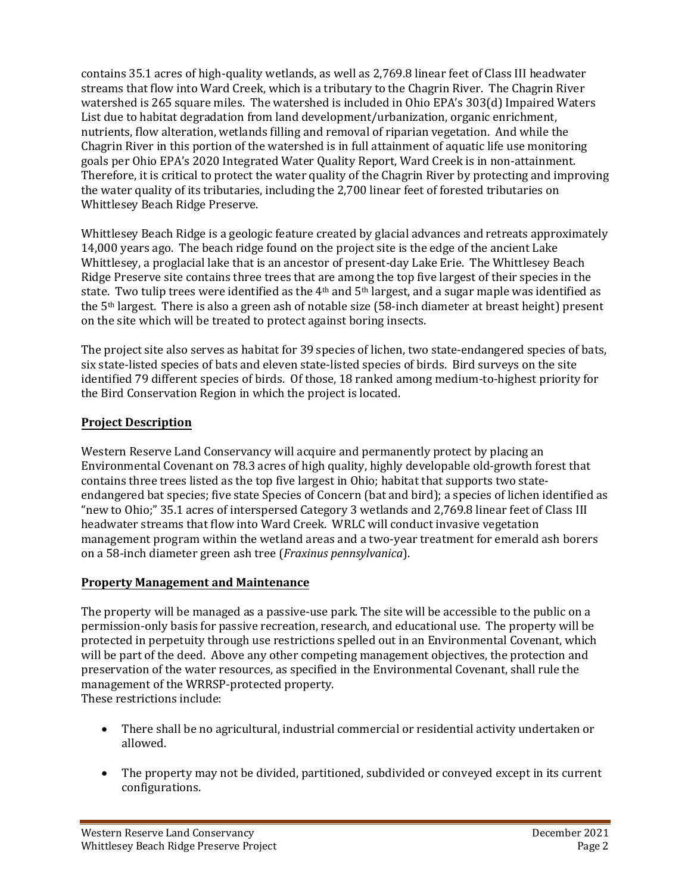contains 35.1 acres of high-quality wetlands, as well as 2,769.8 linear feet of Class III headwater streams that flow into Ward Creek, which is a tributary to the Chagrin River. The Chagrin River watershed is 265 square miles. The watershed is included in Ohio EPA's 303(d) Impaired Waters List due to habitat degradation from land development/urbanization, organic enrichment, nutrients, flow alteration, wetlands filling and removal of riparian vegetation. And while the Chagrin River in this portion of the watershed is in full attainment of aquatic life use monitoring goals per Ohio EPA's 2020 Integrated Water Quality Report, Ward Creek is in non-attainment. Therefore, it is critical to protect the water quality of the Chagrin River by protecting and improving the water quality of its tributaries, including the 2,700 linear feet of forested tributaries on Whittlesey Beach Ridge Preserve.

Whittlesey Beach Ridge is a geologic feature created by glacial advances and retreats approximately 14,000 years ago. The beach ridge found on the project site is the edge of the ancient Lake Whittlesey, a proglacial lake that is an ancestor of present-day Lake Erie. The Whittlesey Beach Ridge Preserve site contains three trees that are among the top five largest of their species in the state. Two tulip trees were identified as the 4<sup>th</sup> and 5<sup>th</sup> largest, and a sugar maple was identified as the 5th largest. There is also a green ash of notable size (58-inch diameter at breast height) present on the site which will be treated to protect against boring insects.

The project site also serves as habitat for 39 species of lichen, two state-endangered species of bats, six state-listed species of bats and eleven state-listed species of birds. Bird surveys on the site identified 79 different species of birds. Of those, 18 ranked among medium-to-highest priority for the Bird Conservation Region in which the project is located.

# **Project Description**

Western Reserve Land Conservancy will acquire and permanently protect by placing an Environmental Covenant on 78.3 acres of high quality, highly developable old-growth forest that contains three trees listed as the top five largest in Ohio; habitat that supports two stateendangered bat species; five state Species of Concern (bat and bird); a species of lichen identified as "new to Ohio;" 35.1 acres of interspersed Category 3 wetlands and 2,769.8 linear feet of Class III headwater streams that flow into Ward Creek. WRLC will conduct invasive vegetation management program within the wetland areas and a two-year treatment for emerald ash borers on a 58-inch diameter green ash tree (*Fraxinus pennsylvanica*).

## **Property Management and Maintenance**

The property will be managed as a passive-use park. The site will be accessible to the public on a permission-only basis for passive recreation, research, and educational use. The property will be protected in perpetuity through use restrictions spelled out in an Environmental Covenant, which will be part of the deed. Above any other competing management objectives, the protection and preservation of the water resources, as specified in the Environmental Covenant, shall rule the management of the WRRSP-protected property. These restrictions include:

- There shall be no agricultural, industrial commercial or residential activity undertaken or allowed.
- The property may not be divided, partitioned, subdivided or conveyed except in its current configurations.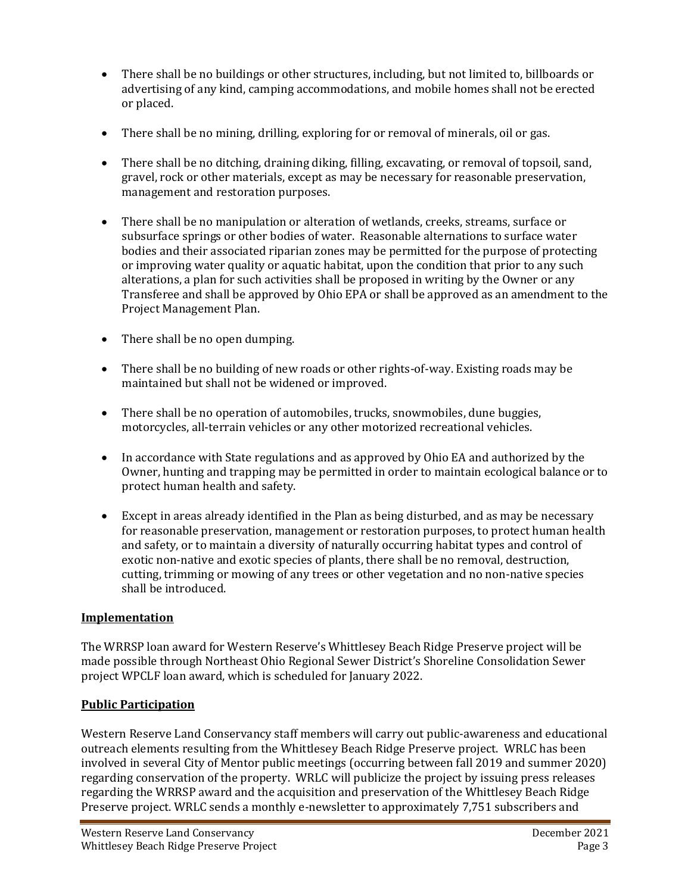- There shall be no buildings or other structures, including, but not limited to, billboards or advertising of any kind, camping accommodations, and mobile homes shall not be erected or placed.
- There shall be no mining, drilling, exploring for or removal of minerals, oil or gas.
- There shall be no ditching, draining diking, filling, excavating, or removal of topsoil, sand, gravel, rock or other materials, except as may be necessary for reasonable preservation, management and restoration purposes.
- There shall be no manipulation or alteration of wetlands, creeks, streams, surface or subsurface springs or other bodies of water. Reasonable alternations to surface water bodies and their associated riparian zones may be permitted for the purpose of protecting or improving water quality or aquatic habitat, upon the condition that prior to any such alterations, a plan for such activities shall be proposed in writing by the Owner or any Transferee and shall be approved by Ohio EPA or shall be approved as an amendment to the Project Management Plan.
- There shall be no open dumping.
- There shall be no building of new roads or other rights-of-way. Existing roads may be maintained but shall not be widened or improved.
- There shall be no operation of automobiles, trucks, snowmobiles, dune buggies, motorcycles, all-terrain vehicles or any other motorized recreational vehicles.
- In accordance with State regulations and as approved by Ohio EA and authorized by the Owner, hunting and trapping may be permitted in order to maintain ecological balance or to protect human health and safety.
- Except in areas already identified in the Plan as being disturbed, and as may be necessary for reasonable preservation, management or restoration purposes, to protect human health and safety, or to maintain a diversity of naturally occurring habitat types and control of exotic non-native and exotic species of plants, there shall be no removal, destruction, cutting, trimming or mowing of any trees or other vegetation and no non-native species shall be introduced.

## **Implementation**

The WRRSP loan award for Western Reserve's Whittlesey Beach Ridge Preserve project will be made possible through Northeast Ohio Regional Sewer District's Shoreline Consolidation Sewer project WPCLF loan award, which is scheduled for January 2022.

## **Public Participation**

Western Reserve Land Conservancy staff members will carry out public-awareness and educational outreach elements resulting from the Whittlesey Beach Ridge Preserve project. WRLC has been involved in several City of Mentor public meetings (occurring between fall 2019 and summer 2020) regarding conservation of the property. WRLC will publicize the project by issuing press releases regarding the WRRSP award and the acquisition and preservation of the Whittlesey Beach Ridge Preserve project. WRLC sends a monthly e-newsletter to approximately 7,751 subscribers and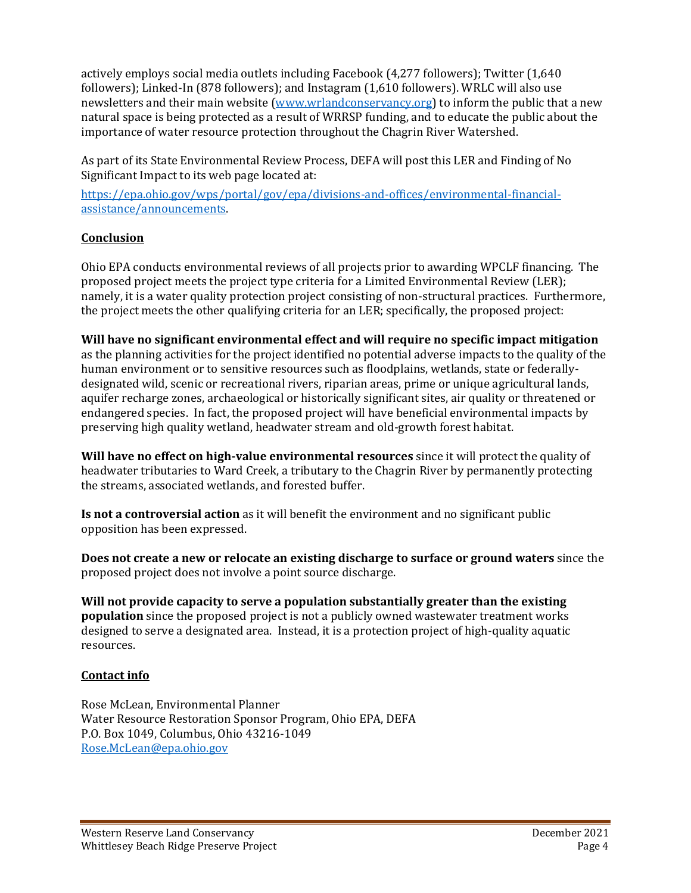actively employs social media outlets including Facebook (4,277 followers); Twitter (1,640 followers); Linked-In (878 followers); and Instagram (1,610 followers). WRLC will also use newsletters and their main website (www.wrlandconservancy.org) to inform the public that a new natural space is being protected as a result of WRRSP funding, and to educate the public about the importance of water resource protection throughout the Chagrin River Watershed.

As part of its State Environmental Review Process, DEFA will post this LER and Finding of No Significant Impact to its web page located at:

[https://epa.ohio.gov/wps/portal/gov/epa/divisions-and-offices/environmental-financial](https://gcc02.safelinks.protection.outlook.com/?url=https%3A%2F%2Fepa.ohio.gov%2Fwps%2Fportal%2Fgov%2Fepa%2Fdivisions-and-offices%2Fenvironmental-financial-assistance%2Fannouncements&data=04%7C01%7CRose.McLean%40epa.ohio.gov%7Cbbba59ee1e9a4fcf81ba08d9b8f56cd5%7C50f8fcc494d84f0784eb36ed57c7c8a2%7C0%7C0%7C637744186490932283%7CUnknown%7CTWFpbGZsb3d8eyJWIjoiMC4wLjAwMDAiLCJQIjoiV2luMzIiLCJBTiI6Ik1haWwiLCJXVCI6Mn0%3D%7C3000&sdata=UtnLskNaZ9X7DcMQsbAwHWZRBFWoXJEcFCxR4sSdcUo%3D&reserved=0)[assistance/announcements.](https://gcc02.safelinks.protection.outlook.com/?url=https%3A%2F%2Fepa.ohio.gov%2Fwps%2Fportal%2Fgov%2Fepa%2Fdivisions-and-offices%2Fenvironmental-financial-assistance%2Fannouncements&data=04%7C01%7CRose.McLean%40epa.ohio.gov%7Cbbba59ee1e9a4fcf81ba08d9b8f56cd5%7C50f8fcc494d84f0784eb36ed57c7c8a2%7C0%7C0%7C637744186490932283%7CUnknown%7CTWFpbGZsb3d8eyJWIjoiMC4wLjAwMDAiLCJQIjoiV2luMzIiLCJBTiI6Ik1haWwiLCJXVCI6Mn0%3D%7C3000&sdata=UtnLskNaZ9X7DcMQsbAwHWZRBFWoXJEcFCxR4sSdcUo%3D&reserved=0) 

## **Conclusion**

Ohio EPA conducts environmental reviews of all projects prior to awarding WPCLF financing. The proposed project meets the project type criteria for a Limited Environmental Review (LER); namely, it is a water quality protection project consisting of non-structural practices. Furthermore, the project meets the other qualifying criteria for an LER; specifically, the proposed project:

**Will have no significant environmental effect and will require no specific impact mitigation** as the planning activities for the project identified no potential adverse impacts to the quality of the human environment or to sensitive resources such as floodplains, wetlands, state or federallydesignated wild, scenic or recreational rivers, riparian areas, prime or unique agricultural lands, aquifer recharge zones, archaeological or historically significant sites, air quality or threatened or endangered species. In fact, the proposed project will have beneficial environmental impacts by preserving high quality wetland, headwater stream and old-growth forest habitat.

**Will have no effect on high-value environmental resources** since it will protect the quality of headwater tributaries to Ward Creek, a tributary to the Chagrin River by permanently protecting the streams, associated wetlands, and forested buffer.

**Is not a controversial action** as it will benefit the environment and no significant public opposition has been expressed.

**Does not create a new or relocate an existing discharge to surface or ground waters** since the proposed project does not involve a point source discharge.

**Will not provide capacity to serve a population substantially greater than the existing population** since the proposed project is not a publicly owned wastewater treatment works designed to serve a designated area. Instead, it is a protection project of high-quality aquatic resources.

# **Contact info**

Rose McLean, Environmental Planner Water Resource Restoration Sponsor Program, Ohio EPA, DEFA P.O. Box 1049, Columbus, Ohio 43216-1049 [Rose.McLean@epa.ohio.gov](mailto:Rose.McLean@epa.ohio.gov)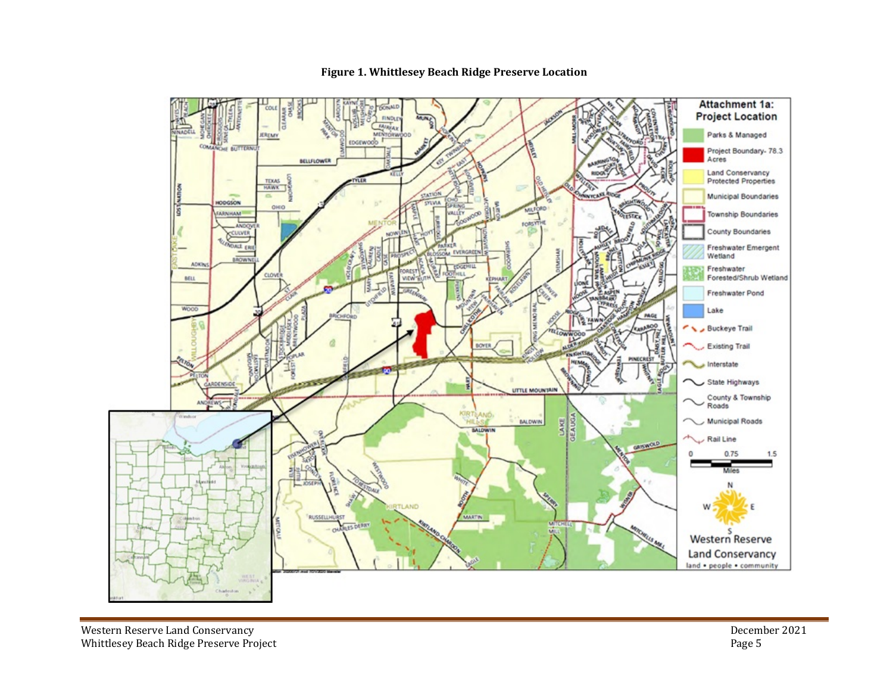

#### **Figure 1. Whittlesey Beach Ridge Preserve Location**